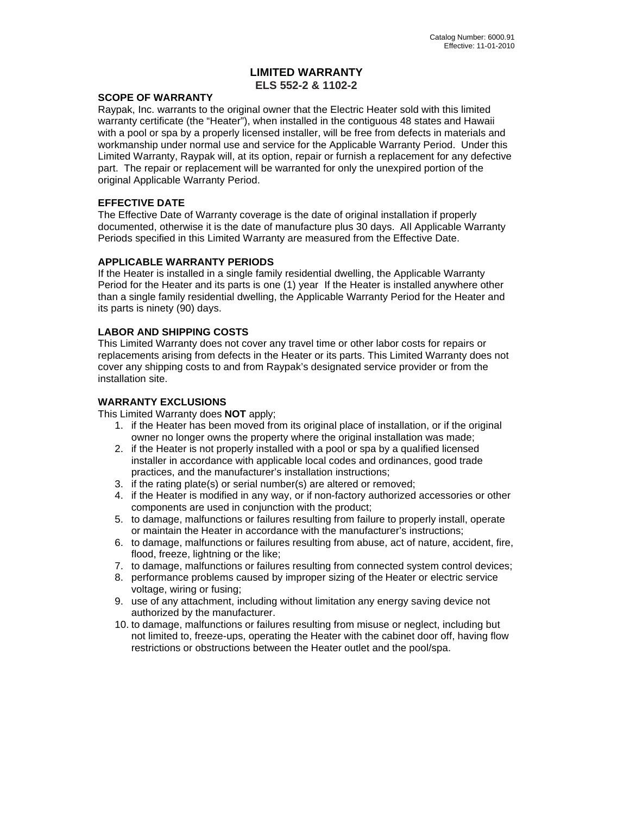# **LIMITED WARRANTY ELS 552-2 & 1102-2**

#### **SCOPE OF WARRANTY**

Raypak, Inc. warrants to the original owner that the Electric Heater sold with this limited warranty certificate (the "Heater"), when installed in the contiguous 48 states and Hawaii with a pool or spa by a properly licensed installer, will be free from defects in materials and workmanship under normal use and service for the Applicable Warranty Period. Under this Limited Warranty, Raypak will, at its option, repair or furnish a replacement for any defective part. The repair or replacement will be warranted for only the unexpired portion of the original Applicable Warranty Period.

# **EFFECTIVE DATE**

The Effective Date of Warranty coverage is the date of original installation if properly documented, otherwise it is the date of manufacture plus 30 days. All Applicable Warranty Periods specified in this Limited Warranty are measured from the Effective Date.

# **APPLICABLE WARRANTY PERIODS**

If the Heater is installed in a single family residential dwelling, the Applicable Warranty Period for the Heater and its parts is one (1) year If the Heater is installed anywhere other than a single family residential dwelling, the Applicable Warranty Period for the Heater and its parts is ninety (90) days.

# **LABOR AND SHIPPING COSTS**

This Limited Warranty does not cover any travel time or other labor costs for repairs or replacements arising from defects in the Heater or its parts. This Limited Warranty does not cover any shipping costs to and from Raypak's designated service provider or from the installation site.

# **WARRANTY EXCLUSIONS**

This Limited Warranty does **NOT** apply;

- 1. if the Heater has been moved from its original place of installation, or if the original owner no longer owns the property where the original installation was made;
- 2. if the Heater is not properly installed with a pool or spa by a qualified licensed installer in accordance with applicable local codes and ordinances, good trade practices, and the manufacturer's installation instructions;
- 3. if the rating plate(s) or serial number(s) are altered or removed;
- 4. if the Heater is modified in any way, or if non-factory authorized accessories or other components are used in conjunction with the product;
- 5. to damage, malfunctions or failures resulting from failure to properly install, operate or maintain the Heater in accordance with the manufacturer's instructions;
- 6. to damage, malfunctions or failures resulting from abuse, act of nature, accident, fire, flood, freeze, lightning or the like;
- 7. to damage, malfunctions or failures resulting from connected system control devices;
- 8. performance problems caused by improper sizing of the Heater or electric service voltage, wiring or fusing;
- 9. use of any attachment, including without limitation any energy saving device not authorized by the manufacturer.
- 10. to damage, malfunctions or failures resulting from misuse or neglect, including but not limited to, freeze-ups, operating the Heater with the cabinet door off, having flow restrictions or obstructions between the Heater outlet and the pool/spa.